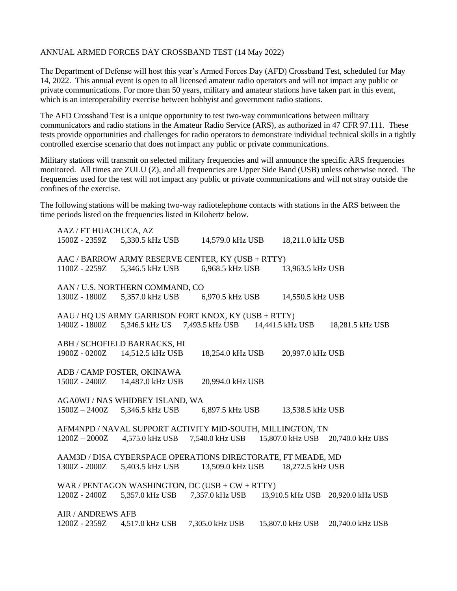## ANNUAL ARMED FORCES DAY CROSSBAND TEST (14 May 2022)

The Department of Defense will host this year's Armed Forces Day (AFD) Crossband Test, scheduled for May 14, 2022. This annual event is open to all licensed amateur radio operators and will not impact any public or private communications. For more than 50 years, military and amateur stations have taken part in this event, which is an interoperability exercise between hobbyist and government radio stations.

The AFD Crossband Test is a unique opportunity to test two-way communications between military communicators and radio stations in the Amateur Radio Service (ARS), as authorized in 47 CFR 97.111. These tests provide opportunities and challenges for radio operators to demonstrate individual technical skills in a tightly controlled exercise scenario that does not impact any public or private communications.

Military stations will transmit on selected military frequencies and will announce the specific ARS frequencies monitored. All times are ZULU (Z), and all frequencies are Upper Side Band (USB) unless otherwise noted. The frequencies used for the test will not impact any public or private communications and will not stray outside the confines of the exercise.

The following stations will be making two-way radiotelephone contacts with stations in the ARS between the time periods listed on the frequencies listed in Kilohertz below.

| AAZ / FT HUACHUCA, AZ                                        |                                |                                                   |                  |                  |  |
|--------------------------------------------------------------|--------------------------------|---------------------------------------------------|------------------|------------------|--|
|                                                              | 1500Z - 2359Z 5,330.5 kHz USB  | 14,579.0 kHz USB                                  | 18,211.0 kHz USB |                  |  |
| AAC / BARROW ARMY RESERVE CENTER, KY (USB + RTTY)            |                                |                                                   |                  |                  |  |
|                                                              | 1100Z - 2259Z 5,346.5 kHz USB  | 6,968.5 kHz USB                                   | 13,963.5 kHz USB |                  |  |
| AAN / U.S. NORTHERN COMMAND, CO                              |                                |                                                   |                  |                  |  |
| 1300Z - 1800Z                                                | 5,357.0 kHz USB                | 6,970.5 kHz USB                                   | 14,550.5 kHz USB |                  |  |
|                                                              |                                |                                                   |                  |                  |  |
| AAU / HQ US ARMY GARRISON FORT KNOX, KY (USB + RTTY)         |                                |                                                   |                  |                  |  |
| 1400Z - 1800Z                                                | 5,346.5 kHz US 7,493.5 kHz USB |                                                   | 14,441.5 kHz USB | 18,281.5 kHz USB |  |
|                                                              |                                |                                                   |                  |                  |  |
| ABH / SCHOFIELD BARRACKS, HI                                 |                                |                                                   |                  |                  |  |
| 1900Z - 0200Z                                                | 14,512.5 kHz USB               | 18,254.0 kHz USB                                  | 20,997.0 kHz USB |                  |  |
|                                                              |                                |                                                   |                  |                  |  |
| ADB / CAMP FOSTER, OKINAWA                                   |                                |                                                   |                  |                  |  |
|                                                              | 1500Z - 2400Z 14,487.0 kHz USB | 20,994.0 kHz USB                                  |                  |                  |  |
|                                                              |                                |                                                   |                  |                  |  |
| AGA0WJ / NAS WHIDBEY ISLAND, WA                              |                                |                                                   |                  |                  |  |
| $1500Z - 2400Z$                                              | 5,346.5 kHz USB                | 6,897.5 kHz USB                                   | 13,538.5 kHz USB |                  |  |
|                                                              |                                |                                                   |                  |                  |  |
| AFM4NPD / NAVAL SUPPORT ACTIVITY MID-SOUTH, MILLINGTON, TN   |                                |                                                   |                  |                  |  |
| $1200Z - 2000Z$                                              | 4,575.0 kHz USB                | 7,540.0 kHz USB 15,807.0 kHz USB 20,740.0 kHz UBS |                  |                  |  |
|                                                              |                                |                                                   |                  |                  |  |
| AAM3D / DISA CYBERSPACE OPERATIONS DIRECTORATE, FT MEADE, MD |                                |                                                   |                  |                  |  |
| 1300Z - 2000Z                                                | 5,403.5 kHz USB                | 13,509.0 kHz USB                                  | 18,272.5 kHz USB |                  |  |
|                                                              |                                |                                                   |                  |                  |  |
| WAR / PENTAGON WASHINGTON, DC (USB + $CW + RTTY$ )           |                                |                                                   |                  |                  |  |
| 1200Z - 2400Z                                                | 5,357.0 kHz USB                | 7,357.0 kHz USB                                   | 13,910.5 kHz USB | 20,920.0 kHz USB |  |
|                                                              |                                |                                                   |                  |                  |  |
| <b>AIR / ANDREWS AFB</b>                                     |                                |                                                   |                  |                  |  |
| 1200Z - 2359Z                                                | 4,517.0 kHz USB                | 7,305.0 kHz USB                                   | 15,807.0 kHz USB | 20,740.0 kHz USB |  |
|                                                              |                                |                                                   |                  |                  |  |
|                                                              |                                |                                                   |                  |                  |  |
|                                                              |                                |                                                   |                  |                  |  |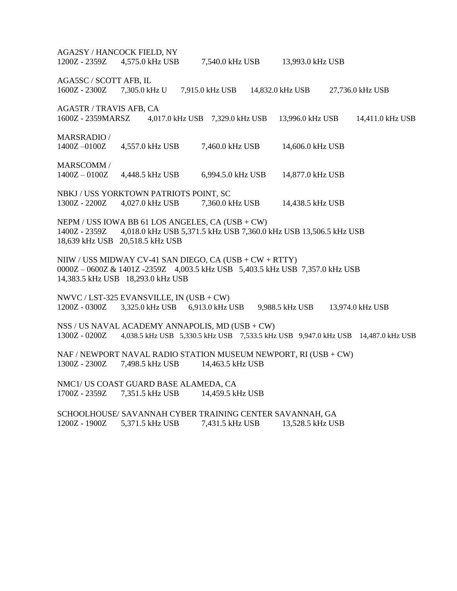AGA2SY / HANCOCK FIELD, NY 1200Z - 2359Z 4,575.0 kHz USB 7,540.0 kHz USB 13,993.0 kHz USB AGA5SC / SCOTT AFB, IL 1600Z - 2300Z 7,305.0 kHz U 7,915.0 kHz USB 14,832.0 kHz USB 27,736.0 kHz USB AGA5TR / TRAVIS AFB, CA 1600Z - 2359MARSZ 4,017.0 kHz USB 7,329.0 kHz USB 13,996.0 kHz USB 14,411.0 kHz USB MARSRADIO / 1400Z –0100Z 4,557.0 kHz USB 7,460.0 kHz USB 14,606.0 kHz USB MARSCOMM / 1400Z – 0100Z 4,448.5 kHz USB 6,994.5.0 kHz USB 14,877.0 kHz USB NBKJ / USS YORKTOWN PATRIOTS POINT, SC 1300Z - 2200Z 4,027.0 kHz USB 7,360.0 kHz USB 14,438.5 kHz USB NEPM / USS IOWA BB 61 LOS ANGELES, CA (USB + CW) 1400Z - 2359Z 4,018.0 kHz USB 5,371.5 kHz USB 7,360.0 kHz USB 13,506.5 kHz USB 18,639 kHz USB 20,518.5 kHz USB NIIW / USS MIDWAY CV-41 SAN DIEGO, CA (USB + CW + RTTY) 0000Z – 0600Z & 1401Z -2359Z 4,003.5 kHz USB 5,403.5 kHz USB 7,357.0 kHz USB 14,383.5 kHz USB 18,293.0 kHz USB NWVC / LST-325 EVANSVILLE, IN (USB + CW) 1200Z - 0300Z 3,325.0 kHz USB 6,913.0 kHz USB 9,988.5 kHz USB 13,974.0 kHz USB NSS / US NAVAL ACADEMY ANNAPOLIS, MD (USB + CW) 1300Z - 0200Z 4,038.5 kHz USB 5,330.5 kHz USB 7,533.5 kHz USB 9,947.0 kHz USB 14,487.0 kHz USB NAF / NEWPORT NAVAL RADIO STATION MUSEUM NEWPORT, RI (USB + CW) 1300Z - 2300Z 7,498.5 kHz USB 14,463.5 kHz USB NMC1/ US COAST GUARD BASE ALAMEDA, CA 1700Z - 2359Z 7,351.5 kHz USB 14,459.5 kHz USB SCHOOLHOUSE/ SAVANNAH CYBER TRAINING CENTER SAVANNAH, GA 1200Z - 1900Z 5,371.5 kHz USB 7,431.5 kHz USB 13,528.5 kHz USB